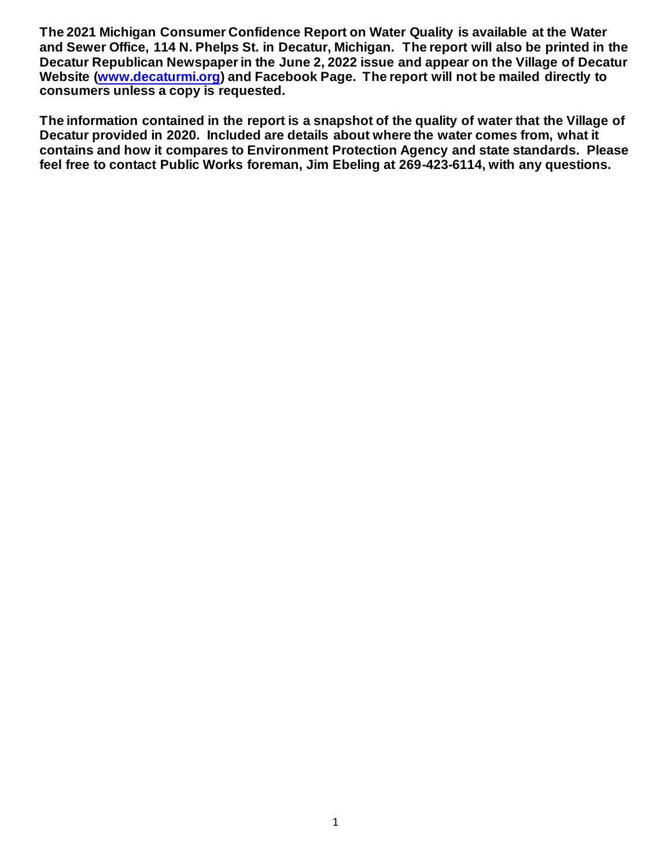**The 2021 Michigan Consumer Confidence Report on Water Quality is available at the Water and Sewer Office, 114 N. Phelps St. in Decatur, Michigan. The report will also be printed in the Decatur Republican Newspaper in the June 2, 2022 issue and appear on the Village of Decatur Website (www.decaturmi.org) and Facebook Page. The report will not be mailed directly to consumers unless a copy is requested.**

**The information contained in the report is a snapshot of the quality of water that the Village of Decatur provided in 2020. Included are details about where the water comes from, what it contains and how it compares to Environment Protection Agency and state standards. Please feel free to contact Public Works foreman, Jim Ebeling at 269-423-6114, with any questions.**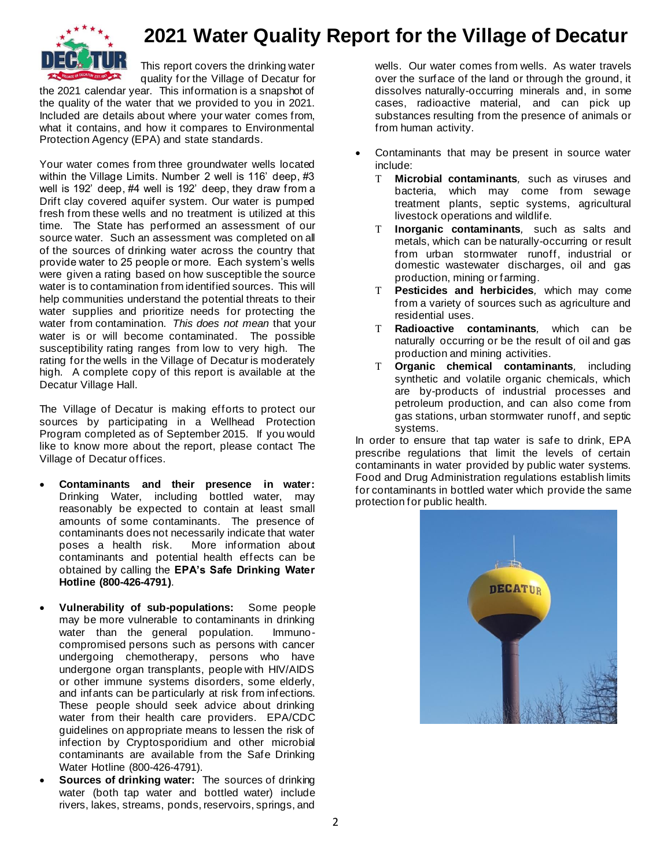

## **2021 Water Quality Report for the Village of Decatur**

This report covers the drinking water quality for the Village of Decatur for

the 2021 calendar year. This information is a snapshot of the quality of the water that we provided to you in 2021. Included are details about where your water comes from, what it contains, and how it compares to Environmental Protection Agency (EPA) and state standards.

Your water comes from three groundwater wells located within the Village Limits. Number 2 well is 116' deep, #3 well is 192' deep, #4 well is 192' deep, they draw from a Drift clay covered aquifer system. Our water is pumped fresh from these wells and no treatment is utilized at this time. The State has performed an assessment of our source water. Such an assessment was completed on all of the sources of drinking water across the country that provide water to 25 people or more. Each system's wells were given a rating based on how susceptible the source water is to contamination from identified sources. This will help communities understand the potential threats to their water supplies and prioritize needs for protecting the water from contamination. *This does not mean* that your water is or will become contaminated. The possible susceptibility rating ranges from low to very high. The rating for the wells in the Village of Decatur is moderately high. A complete copy of this report is available at the Decatur Village Hall.

The Village of Decatur is making efforts to protect our sources by participating in a Wellhead Protection Program completed as of September 2015. If you would like to know more about the report, please contact The Village of Decatur offices.

- **Contaminants and their presence in water:**  Drinking Water, including bottled water, may reasonably be expected to contain at least small amounts of some contaminants. The presence of contaminants does not necessarily indicate that water poses a health risk. More information about contaminants and potential health effects can be obtained by calling the **EPA's Safe Drinking Water Hotline (800-426-4791)**.
- **Vulnerability of sub-populations:** Some people may be more vulnerable to contaminants in drinking water than the general population. Immunocompromised persons such as persons with cancer undergoing chemotherapy, persons who have undergone organ transplants, people with HIV/AIDS or other immune systems disorders, some elderly, and infants can be particularly at risk from infections. These people should seek advice about drinking water from their health care providers. EPA/CDC guidelines on appropriate means to lessen the risk of infection by Cryptosporidium and other microbial contaminants are available from the Safe Drinking Water Hotline (800-426-4791).
- **Sources of drinking water:** The sources of drinking water (both tap water and bottled water) include rivers, lakes, streams, ponds, reservoirs, springs, and

wells. Our water comes from wells. As water travels over the surface of the land or through the ground, it dissolves naturally-occurring minerals and, in some cases, radioactive material, and can pick up substances resulting from the presence of animals or from human activity.

- Contaminants that may be present in source water include:
	- **Microbial contaminants***,* such as viruses and bacteria, which may come from sewage treatment plants, septic systems, agricultural livestock operations and wildlife.
	- **Inorganic contaminants***,* such as salts and metals, which can be naturally-occurring or result from urban stormwater runoff, industrial or domestic wastewater discharges, oil and gas production, mining or farming.
	- **Pesticides and herbicides***,* which may come from a variety of sources such as agriculture and residential uses.
	- **Radioactive contaminants***,* which can be naturally occurring or be the result of oil and gas production and mining activities.
	- **Organic chemical contaminants***,* including synthetic and volatile organic chemicals, which are by-products of industrial processes and petroleum production, and can also come from gas stations, urban stormwater runoff, and septic systems.

In order to ensure that tap water is safe to drink, EPA prescribe regulations that limit the levels of certain contaminants in water provided by public water systems. Food and Drug Administration regulations establish limits for contaminants in bottled water which provide the same protection for public health.

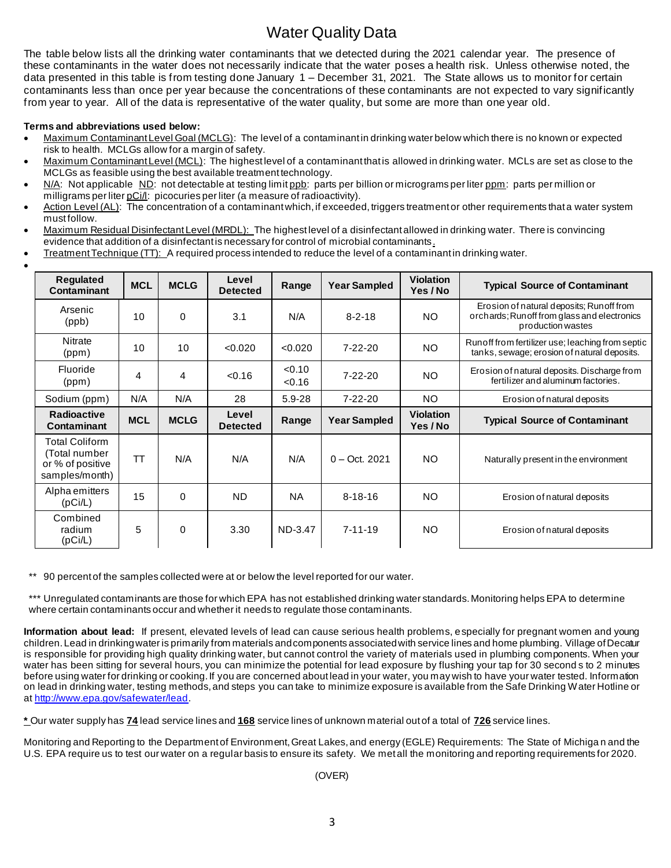## Water Quality Data

The table below lists all the drinking water contaminants that we detected during the 2021 calendar year. The presence of these contaminants in the water does not necessarily indicate that the water poses a health risk. Unless otherwise noted, the data presented in this table is from testing done January 1 – December 31, 2021. The State allows us to monitor for certain contaminants less than once per year because the concentrations of these contaminants are not expected to vary significantly from year to year. All of the data is representative of the water quality, but some are more than one year old.

## **Terms and abbreviations used below:**

•

- Maximum Contaminant Level Goal (MCLG): The level of a contaminant in drinking water below which there is no known or expected risk to health. MCLGs allow for a margin of safety.
- Maximum Contaminant Level (MCL): The highest level of a contaminant that is allowed in drinking water. MCLs are set as close to the MCLGs as feasible using the best available treatment technology.
- N/A: Not applicable ND: not detectable at testing limit ppb: parts per billion or micrograms per liter ppm: parts per million or milligrams per liter pCi/l: picocuries per liter (a measure of radioactivity).
- Action Level (AL): The concentration of a contaminant which, if exceeded, triggers treatment or other requirements that a water system must follow.
- Maximum Residual Disinfectant Level (MRDL): The highest level of a disinfectant allowed in drinking water. There is convincing evidence that addition of a disinfectant is necessary for control of microbial contaminants.
- Treatment Technique (TT): A required process intended to reduce the level of a contaminant in drinking water.

| <b>Requlated</b><br>Contaminant                                              | <b>MCL</b> | <b>MCLG</b> | Level<br><b>Detected</b> | Range            | <b>Year Sampled</b> | <b>Violation</b><br>Yes / No | <b>Typical Source of Contaminant</b>                                                                          |
|------------------------------------------------------------------------------|------------|-------------|--------------------------|------------------|---------------------|------------------------------|---------------------------------------------------------------------------------------------------------------|
| Arsenic<br>(ppb)                                                             | 10         | $\mathbf 0$ | 3.1                      | N/A              | $8 - 2 - 18$        | NO.                          | Erosion of natural deposits; Runoff from<br>orchards; Run off from glass and electronics<br>production wastes |
| <b>Nitrate</b><br>(ppm)                                                      | 10         | 10          | < 0.020                  | < 0.020          | $7 - 22 - 20$       | NO.                          | Run off from fertilizer use; leaching from septic<br>tanks, sewage; erosion of natural deposits.              |
| Fluoride<br>(ppm)                                                            | 4          | 4           | < 0.16                   | < 0.10<br>< 0.16 | $7 - 22 - 20$       | NO.                          | Erosion of natural deposits. Discharge from<br>fertilizer and aluminum factories.                             |
| Sodium (ppm)                                                                 | N/A        | N/A         | 28                       | 5.9-28           | $7 - 22 - 20$       | NO.                          | Erosion of natural deposits                                                                                   |
| <b>Radioactive</b><br>Contaminant                                            | <b>MCL</b> | <b>MCLG</b> | Level<br><b>Detected</b> | Range            | <b>Year Sampled</b> | <b>Violation</b><br>Yes / No | <b>Typical Source of Contaminant</b>                                                                          |
| <b>Total Coliform</b><br>(Total number<br>or % of positive<br>samples/month) | <b>TT</b>  | N/A         | N/A                      | N/A              | $0 - Oct. 2021$     | <b>NO</b>                    | Naturally present in the environment                                                                          |
| Alpha emitters<br>(pCi/L)                                                    | 15         | $\Omega$    | <b>ND</b>                | <b>NA</b>        | $8 - 18 - 16$       | NO.                          | Erosion of natural deposits                                                                                   |
| Combined<br>radium<br>(pCi/L)                                                | 5          | 0           | 3.30                     | ND-3.47          | $7 - 11 - 19$       | NO.                          | Erosion of natural deposits                                                                                   |

\*\* 90 percent of the samples collected were at or below the level reported for our water.

\*\*\* Unregulated contaminants are those for which EPA has not established drinking water standards. Monitoring helps EPA to determine where certain contaminants occur and whether it needs to regulate those contaminants.

**Information about lead:** If present, elevated levels of lead can cause serious health problems, especially for pregnant women and young children. Lead in drinking water is primarily from materials and components associated with service lines and home plumbing. Village of Decatur is responsible for providing high quality drinking water, but cannot control the variety of materials used in plumbing components. When your water has been sitting for several hours, you can minimize the potential for lead exposure by flushing your tap for 30 second s to 2 minutes before using water for drinking or cooking. If you are concerned about lead in your water, you may wish to have your water tested. Information on lead in drinking water, testing methods, and steps you can take to minimize exposure is available from the Safe Drinking Water Hotline or at http://www.epa.gov/safewater/lead.

**\*** Our water supply has **74** lead service lines and **168** service lines of unknown material out of a total of **726** service lines.

Monitoring and Reporting to the Department of Environment, Great Lakes, and energy (EGLE) Requirements: The State of Michiga n and the U.S. EPA require us to test our water on a regular basis to ensure its safety. We met all the monitoring and reporting requirements for 2020.

(OVER)